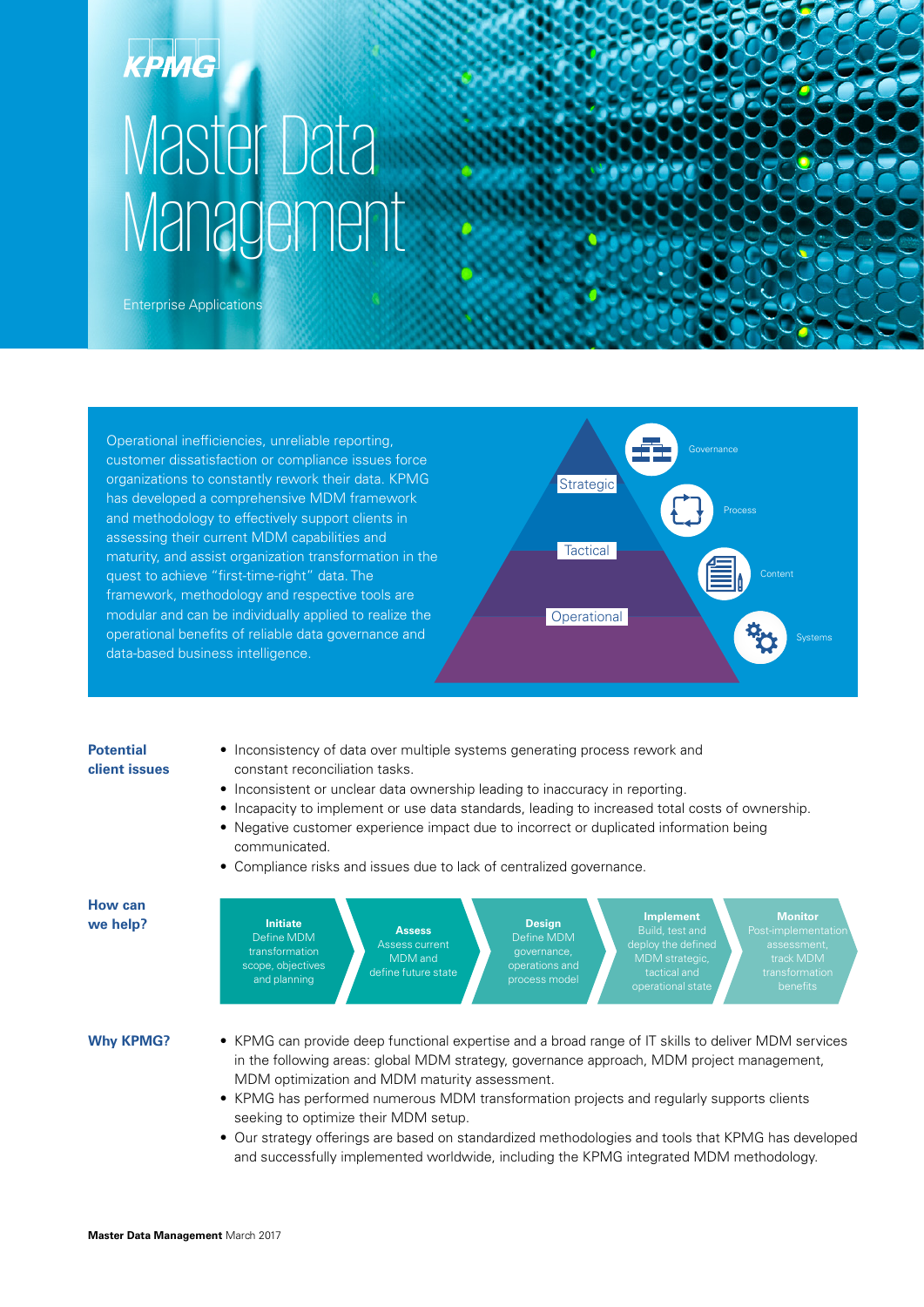# Master Data **Management**

Enterprise Applications

Operational inefficiencies, unreliable reporting, customer dissatisfaction or compliance issues force organizations to constantly rework their data. KPMG has developed a comprehensive MDM framework and methodology to effectively support clients in assessing their current MDM capabilities and maturity, and assist organization transformation in the quest to achieve "first-time-right" data. The framework, methodology and respective tools are modular and can be individually applied to realize the operational benefits of reliable data governance and data-based business intelligence.



#### **Potential client issues**

- Inconsistency of data over multiple systems generating process rework and constant reconciliation tasks.
- Inconsistent or unclear data ownership leading to inaccuracy in reporting.
- Incapacity to implement or use data standards, leading to increased total costs of ownership.
- Negative customer experience impact due to incorrect or duplicated information being communicated.
- Compliance risks and issues due to lack of centralized governance.



**Why KPMG?**

- KPMG can provide deep functional expertise and a broad range of IT skills to deliver MDM services in the following areas: global MDM strategy, governance approach, MDM project management, MDM optimization and MDM maturity assessment.
- KPMG has performed numerous MDM transformation projects and regularly supports clients seeking to optimize their MDM setup.
- Our strategy offerings are based on standardized methodologies and tools that KPMG has developed and successfully implemented worldwide, including the KPMG integrated MDM methodology.